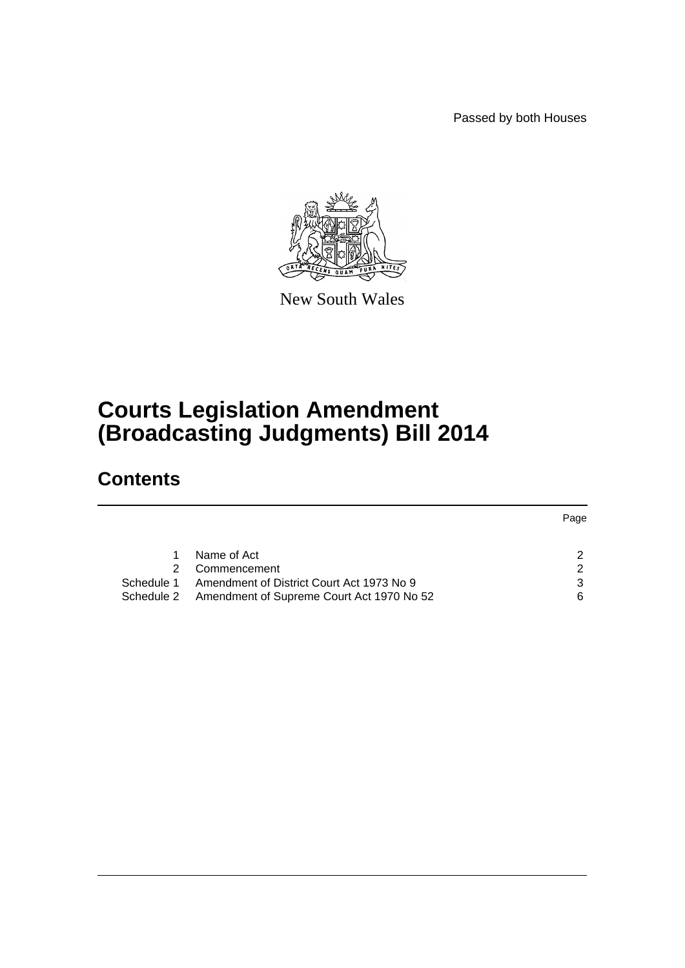Passed by both Houses



New South Wales

# **Courts Legislation Amendment (Broadcasting Judgments) Bill 2014**

# **Contents**

|            |                                                      | Page          |
|------------|------------------------------------------------------|---------------|
|            |                                                      |               |
|            | Name of Act                                          | $\mathcal{P}$ |
|            | Commencement                                         | $\mathcal{P}$ |
| Schedule 1 | Amendment of District Court Act 1973 No 9            | 3             |
|            | Schedule 2 Amendment of Supreme Court Act 1970 No 52 | 6             |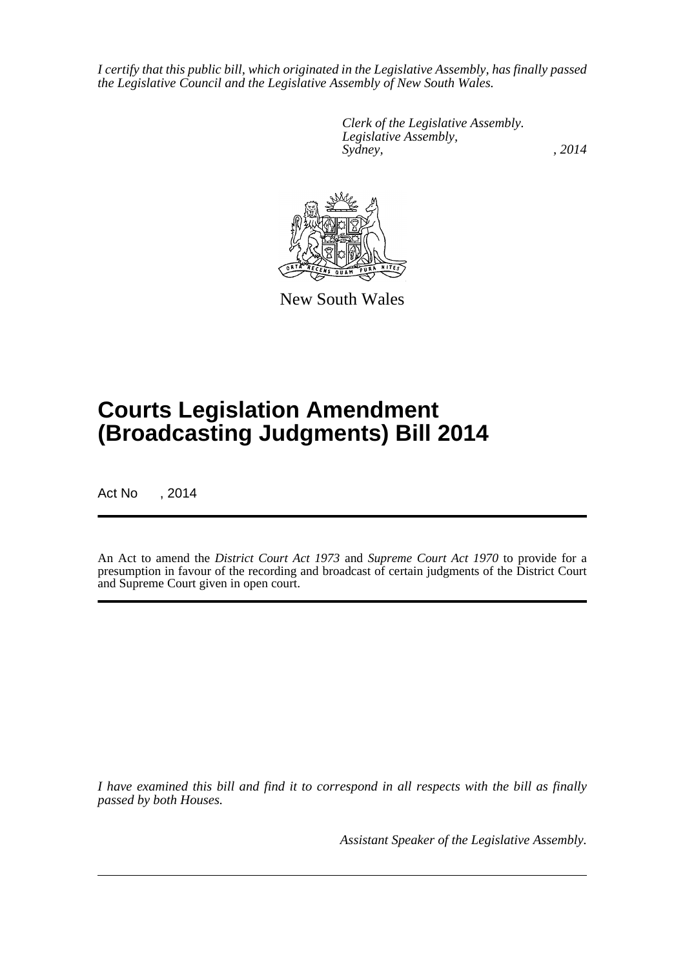*I certify that this public bill, which originated in the Legislative Assembly, has finally passed the Legislative Council and the Legislative Assembly of New South Wales.*

> *Clerk of the Legislative Assembly. Legislative Assembly, Sydney,* , 2014



New South Wales

# **Courts Legislation Amendment (Broadcasting Judgments) Bill 2014**

Act No , 2014

An Act to amend the *District Court Act 1973* and *Supreme Court Act 1970* to provide for a presumption in favour of the recording and broadcast of certain judgments of the District Court and Supreme Court given in open court.

*I have examined this bill and find it to correspond in all respects with the bill as finally passed by both Houses.*

*Assistant Speaker of the Legislative Assembly.*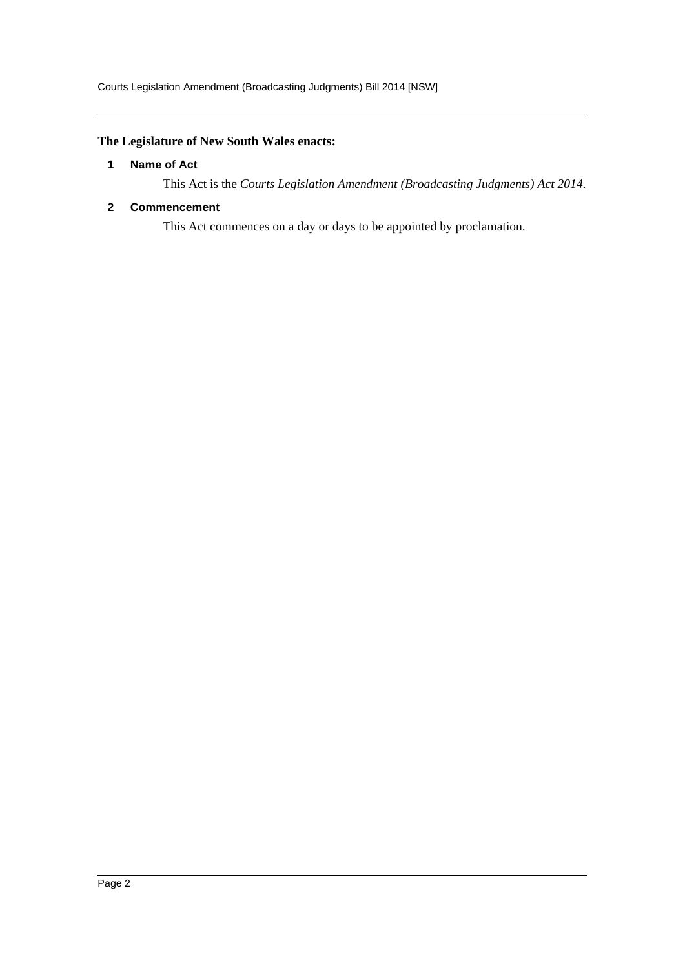## <span id="page-2-0"></span>**The Legislature of New South Wales enacts:**

### **1 Name of Act**

This Act is the *Courts Legislation Amendment (Broadcasting Judgments) Act 2014*.

## <span id="page-2-1"></span>**2 Commencement**

This Act commences on a day or days to be appointed by proclamation.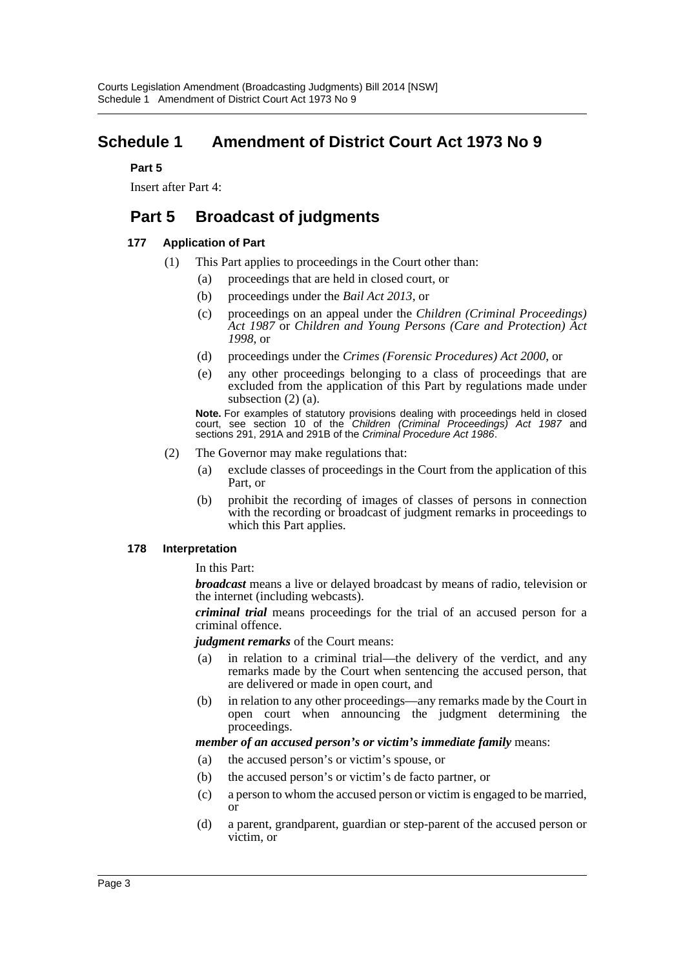# <span id="page-3-0"></span>**Schedule 1 Amendment of District Court Act 1973 No 9**

### **Part 5**

Insert after Part 4:

# **Part 5 Broadcast of judgments**

## **177 Application of Part**

- (1) This Part applies to proceedings in the Court other than:
	- (a) proceedings that are held in closed court, or
	- (b) proceedings under the *Bail Act 2013*, or
	- (c) proceedings on an appeal under the *Children (Criminal Proceedings) Act 1987* or *Children and Young Persons (Care and Protection) Act 1998*, or
	- (d) proceedings under the *Crimes (Forensic Procedures) Act 2000*, or
	- (e) any other proceedings belonging to a class of proceedings that are excluded from the application of this Part by regulations made under subsection (2) (a).

**Note.** For examples of statutory provisions dealing with proceedings held in closed court, see section 10 of the *Children (Criminal Proceedings) Act 1987* and sections 291, 291A and 291B of the *Criminal Procedure Act 1986*.

- (2) The Governor may make regulations that:
	- (a) exclude classes of proceedings in the Court from the application of this Part, or
	- (b) prohibit the recording of images of classes of persons in connection with the recording or broadcast of judgment remarks in proceedings to which this Part applies.

## **178 Interpretation**

In this Part:

*broadcast* means a live or delayed broadcast by means of radio, television or the internet (including webcasts).

*criminal trial* means proceedings for the trial of an accused person for a criminal offence.

*judgment remarks* of the Court means:

- (a) in relation to a criminal trial—the delivery of the verdict, and any remarks made by the Court when sentencing the accused person, that are delivered or made in open court, and
- (b) in relation to any other proceedings—any remarks made by the Court in open court when announcing the judgment determining the proceedings.

#### *member of an accused person's or victim's immediate family* means:

- (a) the accused person's or victim's spouse, or
- (b) the accused person's or victim's de facto partner, or
- (c) a person to whom the accused person or victim is engaged to be married, or
- (d) a parent, grandparent, guardian or step-parent of the accused person or victim, or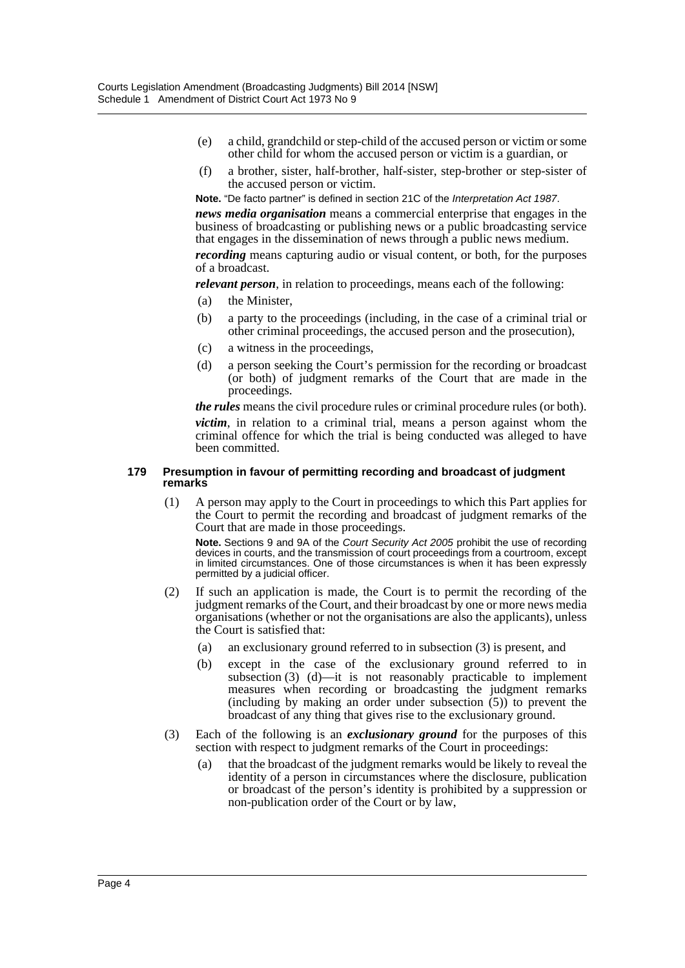- (e) a child, grandchild or step-child of the accused person or victim or some other child for whom the accused person or victim is a guardian, or
- (f) a brother, sister, half-brother, half-sister, step-brother or step-sister of the accused person or victim.

**Note.** "De facto partner" is defined in section 21C of the *Interpretation Act 1987*. *news media organisation* means a commercial enterprise that engages in the business of broadcasting or publishing news or a public broadcasting service that engages in the dissemination of news through a public news medium. *recording* means capturing audio or visual content, or both, for the purposes

of a broadcast. *relevant person*, in relation to proceedings, means each of the following:

- (a) the Minister,
- (b) a party to the proceedings (including, in the case of a criminal trial or other criminal proceedings, the accused person and the prosecution),
- (c) a witness in the proceedings,
- (d) a person seeking the Court's permission for the recording or broadcast (or both) of judgment remarks of the Court that are made in the proceedings.

*the rules* means the civil procedure rules or criminal procedure rules (or both). *victim*, in relation to a criminal trial, means a person against whom the criminal offence for which the trial is being conducted was alleged to have been committed.

#### **179 Presumption in favour of permitting recording and broadcast of judgment remarks**

(1) A person may apply to the Court in proceedings to which this Part applies for the Court to permit the recording and broadcast of judgment remarks of the Court that are made in those proceedings.

**Note.** Sections 9 and 9A of the *Court Security Act 2005* prohibit the use of recording devices in courts, and the transmission of court proceedings from a courtroom, except in limited circumstances. One of those circumstances is when it has been expressly permitted by a judicial officer.

- (2) If such an application is made, the Court is to permit the recording of the judgment remarks of the Court, and their broadcast by one or more news media organisations (whether or not the organisations are also the applicants), unless the Court is satisfied that:
	- (a) an exclusionary ground referred to in subsection (3) is present, and
	- (b) except in the case of the exclusionary ground referred to in subsection (3) (d)—it is not reasonably practicable to implement measures when recording or broadcasting the judgment remarks (including by making an order under subsection (5)) to prevent the broadcast of any thing that gives rise to the exclusionary ground.
- (3) Each of the following is an *exclusionary ground* for the purposes of this section with respect to judgment remarks of the Court in proceedings:
	- (a) that the broadcast of the judgment remarks would be likely to reveal the identity of a person in circumstances where the disclosure, publication or broadcast of the person's identity is prohibited by a suppression or non-publication order of the Court or by law,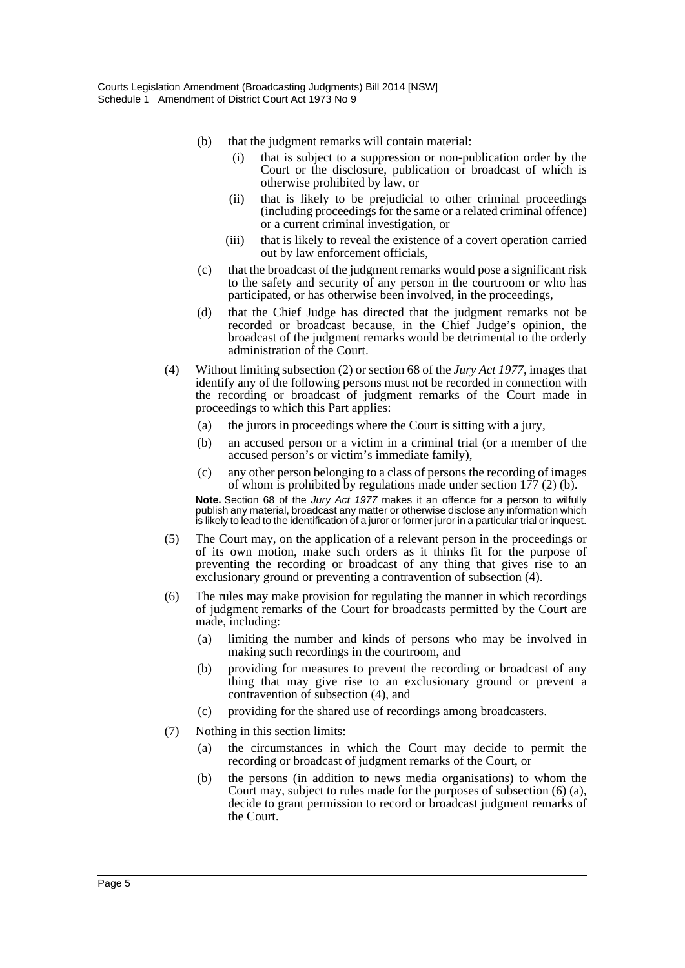- (b) that the judgment remarks will contain material:
	- (i) that is subject to a suppression or non-publication order by the Court or the disclosure, publication or broadcast of which is otherwise prohibited by law, or
	- (ii) that is likely to be prejudicial to other criminal proceedings (including proceedings for the same or a related criminal offence) or a current criminal investigation, or
	- (iii) that is likely to reveal the existence of a covert operation carried out by law enforcement officials,
- (c) that the broadcast of the judgment remarks would pose a significant risk to the safety and security of any person in the courtroom or who has participated, or has otherwise been involved, in the proceedings,
- (d) that the Chief Judge has directed that the judgment remarks not be recorded or broadcast because, in the Chief Judge's opinion, the broadcast of the judgment remarks would be detrimental to the orderly administration of the Court.
- (4) Without limiting subsection (2) or section 68 of the *Jury Act 1977*, images that identify any of the following persons must not be recorded in connection with the recording or broadcast of judgment remarks of the Court made in proceedings to which this Part applies:
	- (a) the jurors in proceedings where the Court is sitting with a jury,
	- (b) an accused person or a victim in a criminal trial (or a member of the accused person's or victim's immediate family),
	- (c) any other person belonging to a class of persons the recording of images of whom is prohibited by regulations made under section  $177(2)$  (b).

**Note.** Section 68 of the *Jury Act 1977* makes it an offence for a person to wilfully publish any material, broadcast any matter or otherwise disclose any information which is likely to lead to the identification of a juror or former juror in a particular trial or inquest.

- (5) The Court may, on the application of a relevant person in the proceedings or of its own motion, make such orders as it thinks fit for the purpose of preventing the recording or broadcast of any thing that gives rise to an exclusionary ground or preventing a contravention of subsection (4).
- (6) The rules may make provision for regulating the manner in which recordings of judgment remarks of the Court for broadcasts permitted by the Court are made, including:
	- (a) limiting the number and kinds of persons who may be involved in making such recordings in the courtroom, and
	- (b) providing for measures to prevent the recording or broadcast of any thing that may give rise to an exclusionary ground or prevent a contravention of subsection (4), and
	- (c) providing for the shared use of recordings among broadcasters.
- (7) Nothing in this section limits:
	- (a) the circumstances in which the Court may decide to permit the recording or broadcast of judgment remarks of the Court, or
	- (b) the persons (in addition to news media organisations) to whom the Court may, subject to rules made for the purposes of subsection (6) (a), decide to grant permission to record or broadcast judgment remarks of the Court.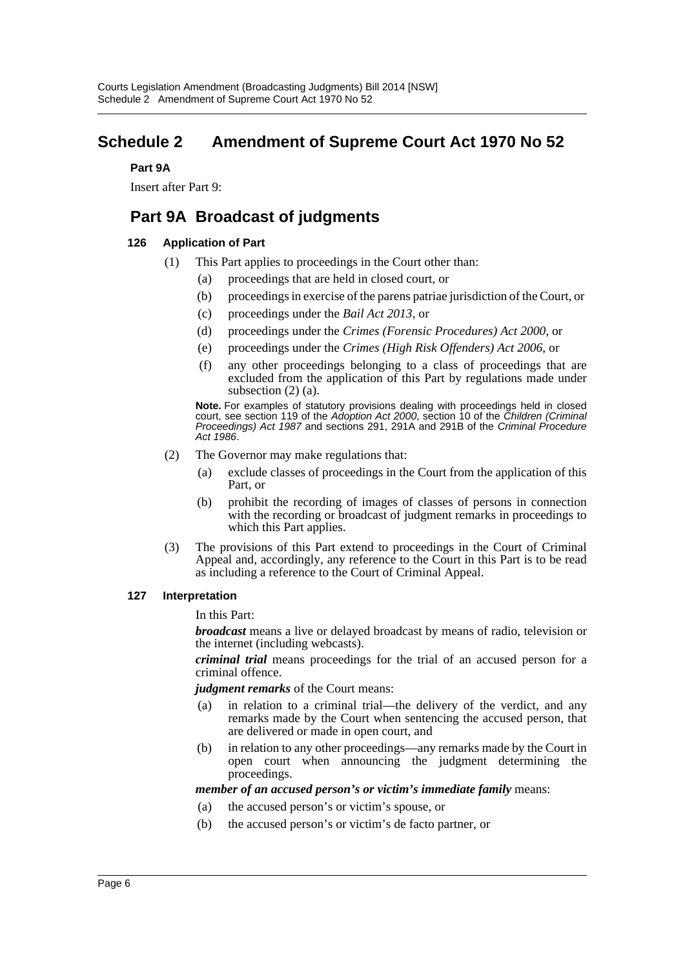# <span id="page-6-0"></span>**Schedule 2 Amendment of Supreme Court Act 1970 No 52**

#### **Part 9A**

Insert after Part 9:

# **Part 9A Broadcast of judgments**

## **126 Application of Part**

- (1) This Part applies to proceedings in the Court other than:
	- (a) proceedings that are held in closed court, or
	- (b) proceedings in exercise of the parens patriae jurisdiction of the Court, or
	- (c) proceedings under the *Bail Act 2013*, or
	- (d) proceedings under the *Crimes (Forensic Procedures) Act 2000*, or
	- (e) proceedings under the *Crimes (High Risk Offenders) Act 2006*, or
	- (f) any other proceedings belonging to a class of proceedings that are excluded from the application of this Part by regulations made under subsection (2) (a).

**Note.** For examples of statutory provisions dealing with proceedings held in closed court, see section 119 of the *Adoption Act 2000*, section 10 of the *Children (Criminal Proceedings) Act 1987* and sections 291, 291A and 291B of the *Criminal Procedure Act 1986*.

- (2) The Governor may make regulations that:
	- (a) exclude classes of proceedings in the Court from the application of this Part, or
	- (b) prohibit the recording of images of classes of persons in connection with the recording or broadcast of judgment remarks in proceedings to which this Part applies.
- (3) The provisions of this Part extend to proceedings in the Court of Criminal Appeal and, accordingly, any reference to the Court in this Part is to be read as including a reference to the Court of Criminal Appeal.

#### **127 Interpretation**

In this Part:

*broadcast* means a live or delayed broadcast by means of radio, television or the internet (including webcasts).

*criminal trial* means proceedings for the trial of an accused person for a criminal offence.

#### *judgment remarks* of the Court means:

- (a) in relation to a criminal trial—the delivery of the verdict, and any remarks made by the Court when sentencing the accused person, that are delivered or made in open court, and
- (b) in relation to any other proceedings—any remarks made by the Court in open court when announcing the judgment determining the proceedings.

#### *member of an accused person's or victim's immediate family* means:

- (a) the accused person's or victim's spouse, or
- (b) the accused person's or victim's de facto partner, or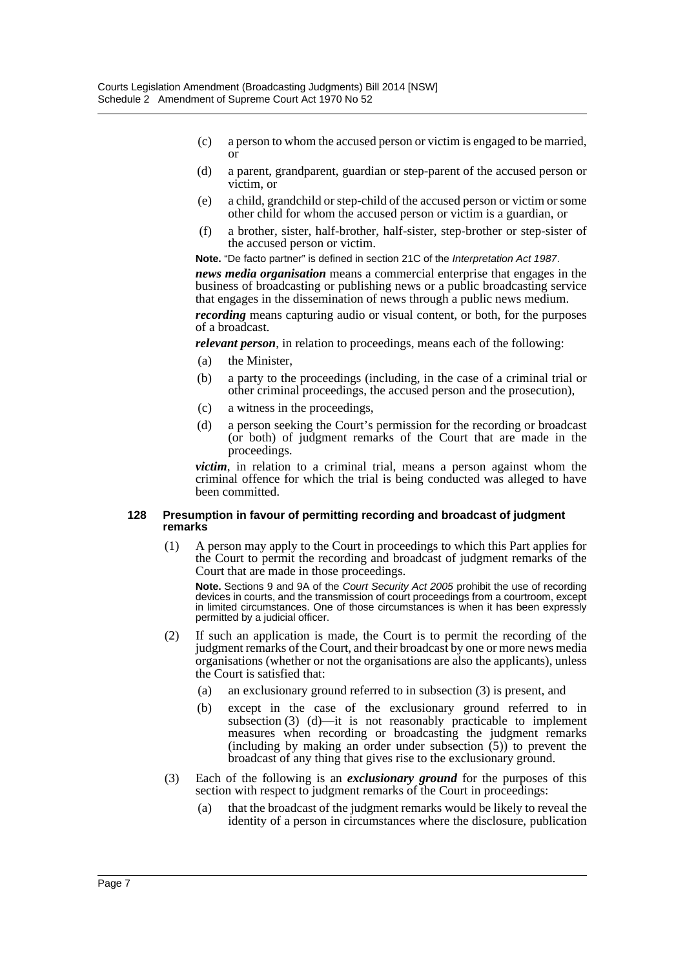- (c) a person to whom the accused person or victim is engaged to be married, or
- (d) a parent, grandparent, guardian or step-parent of the accused person or victim, or
- (e) a child, grandchild or step-child of the accused person or victim or some other child for whom the accused person or victim is a guardian, or
- (f) a brother, sister, half-brother, half-sister, step-brother or step-sister of the accused person or victim.

**Note.** "De facto partner" is defined in section 21C of the *Interpretation Act 1987*.

*news media organisation* means a commercial enterprise that engages in the business of broadcasting or publishing news or a public broadcasting service that engages in the dissemination of news through a public news medium.

*recording* means capturing audio or visual content, or both, for the purposes of a broadcast.

*relevant person*, in relation to proceedings, means each of the following:

- (a) the Minister,
- (b) a party to the proceedings (including, in the case of a criminal trial or other criminal proceedings, the accused person and the prosecution),
- (c) a witness in the proceedings,
- (d) a person seeking the Court's permission for the recording or broadcast (or both) of judgment remarks of the Court that are made in the proceedings.

*victim*, in relation to a criminal trial, means a person against whom the criminal offence for which the trial is being conducted was alleged to have been committed.

#### **128 Presumption in favour of permitting recording and broadcast of judgment remarks**

(1) A person may apply to the Court in proceedings to which this Part applies for the Court to permit the recording and broadcast of judgment remarks of the Court that are made in those proceedings.

**Note.** Sections 9 and 9A of the *Court Security Act 2005* prohibit the use of recording devices in courts, and the transmission of court proceedings from a courtroom, except in limited circumstances. One of those circumstances is when it has been expressly permitted by a judicial officer.

- (2) If such an application is made, the Court is to permit the recording of the judgment remarks of the Court, and their broadcast by one or more news media organisations (whether or not the organisations are also the applicants), unless the Court is satisfied that:
	- (a) an exclusionary ground referred to in subsection (3) is present, and
	- (b) except in the case of the exclusionary ground referred to in subsection (3) (d)—it is not reasonably practicable to implement measures when recording or broadcasting the judgment remarks (including by making an order under subsection (5)) to prevent the broadcast of any thing that gives rise to the exclusionary ground.
- (3) Each of the following is an *exclusionary ground* for the purposes of this section with respect to judgment remarks of the Court in proceedings:
	- (a) that the broadcast of the judgment remarks would be likely to reveal the identity of a person in circumstances where the disclosure, publication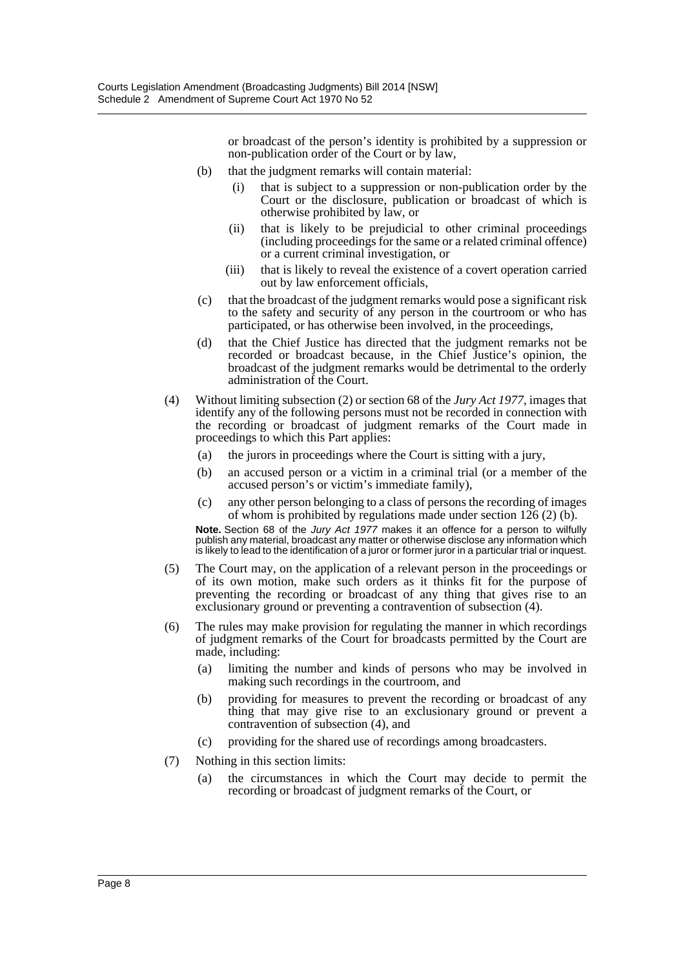or broadcast of the person's identity is prohibited by a suppression or non-publication order of the Court or by law,

- (b) that the judgment remarks will contain material:
	- (i) that is subject to a suppression or non-publication order by the Court or the disclosure, publication or broadcast of which is otherwise prohibited by law, or
	- (ii) that is likely to be prejudicial to other criminal proceedings (including proceedings for the same or a related criminal offence) or a current criminal investigation, or
	- (iii) that is likely to reveal the existence of a covert operation carried out by law enforcement officials,
- (c) that the broadcast of the judgment remarks would pose a significant risk to the safety and security of any person in the courtroom or who has participated, or has otherwise been involved, in the proceedings,
- (d) that the Chief Justice has directed that the judgment remarks not be recorded or broadcast because, in the Chief Justice's opinion, the broadcast of the judgment remarks would be detrimental to the orderly administration of the Court.
- (4) Without limiting subsection (2) or section 68 of the *Jury Act 1977*, images that identify any of the following persons must not be recorded in connection with the recording or broadcast of judgment remarks of the Court made in proceedings to which this Part applies:
	- (a) the jurors in proceedings where the Court is sitting with a jury,
	- (b) an accused person or a victim in a criminal trial (or a member of the accused person's or victim's immediate family),
	- (c) any other person belonging to a class of persons the recording of images of whom is prohibited by regulations made under section  $126 (2) (b)$ .

**Note.** Section 68 of the *Jury Act 1977* makes it an offence for a person to wilfully publish any material, broadcast any matter or otherwise disclose any information which is likely to lead to the identification of a juror or former juror in a particular trial or inquest.

- (5) The Court may, on the application of a relevant person in the proceedings or of its own motion, make such orders as it thinks fit for the purpose of preventing the recording or broadcast of any thing that gives rise to an exclusionary ground or preventing a contravention of subsection (4).
- (6) The rules may make provision for regulating the manner in which recordings of judgment remarks of the Court for broadcasts permitted by the Court are made, including:
	- (a) limiting the number and kinds of persons who may be involved in making such recordings in the courtroom, and
	- (b) providing for measures to prevent the recording or broadcast of any thing that may give rise to an exclusionary ground or prevent a contravention of subsection (4), and
	- (c) providing for the shared use of recordings among broadcasters.
- (7) Nothing in this section limits:
	- (a) the circumstances in which the Court may decide to permit the recording or broadcast of judgment remarks of the Court, or